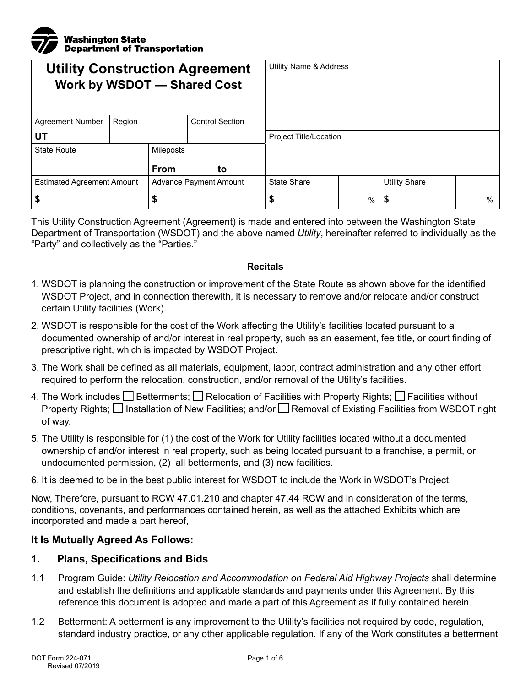

| <b>Utility Construction Agreement</b><br><b>Work by WSDOT - Shared Cost</b> |        |                               |                        | Utility Name & Address        |      |                      |   |
|-----------------------------------------------------------------------------|--------|-------------------------------|------------------------|-------------------------------|------|----------------------|---|
| <b>Agreement Number</b>                                                     | Region |                               | <b>Control Section</b> |                               |      |                      |   |
| UT                                                                          |        |                               |                        | <b>Project Title/Location</b> |      |                      |   |
| <b>State Route</b>                                                          |        | Mileposts                     |                        |                               |      |                      |   |
|                                                                             |        | <b>From</b>                   | to                     |                               |      |                      |   |
| <b>Estimated Agreement Amount</b>                                           |        | <b>Advance Payment Amount</b> |                        | <b>State Share</b>            |      | <b>Utility Share</b> |   |
| ₽                                                                           |        | æ                             |                        | \$                            | $\%$ | \$                   | % |

This Utility Construction Agreement (Agreement) is made and entered into between the Washington State Department of Transportation (WSDOT) and the above named *Utility*, hereinafter referred to individually as the "Party" and collectively as the "Parties."

#### **Recitals**

- 1. WSDOT is planning the construction or improvement of the State Route as shown above for the identified WSDOT Project, and in connection therewith, it is necessary to remove and/or relocate and/or construct certain Utility facilities (Work).
- 2. WSDOT is responsible for the cost of the Work affecting the Utility's facilities located pursuant to a documented ownership of and/or interest in real property, such as an easement, fee title, or court finding of prescriptive right, which is impacted by WSDOT Project.
- 3. The Work shall be defined as all materials, equipment, labor, contract administration and any other effort required to perform the relocation, construction, and/or removal of the Utility's facilities.
- 4. The Work includes  $\square$  Betterments;  $\square$  Relocation of Facilities with Property Rights;  $\square$  Facilities without Property Rights;  $\Box$  Installation of New Facilities; and/or  $\Box$  Removal of Existing Facilities from WSDOT right of way.
- 5. The Utility is responsible for (1) the cost of the Work for Utility facilities located without a documented ownership of and/or interest in real property, such as being located pursuant to a franchise, a permit, or undocumented permission, (2) all betterments, and (3) new facilities.
- 6. It is deemed to be in the best public interest for WSDOT to include the Work in WSDOT's Project.

Now, Therefore, pursuant to RCW 47.01.210 and chapter 47.44 RCW and in consideration of the terms, conditions, covenants, and performances contained herein, as well as the attached Exhibits which are incorporated and made a part hereof,

#### **It Is Mutually Agreed As Follows:**

#### **1. Plans, Specifications and Bids**

- 1.1 Program Guide: *Utility Relocation and Accommodation on Federal Aid Highway Projects* shall determine and establish the definitions and applicable standards and payments under this Agreement. By this reference this document is adopted and made a part of this Agreement as if fully contained herein.
- 1.2 Betterment: A betterment is any improvement to the Utility's facilities not required by code, regulation, standard industry practice, or any other applicable regulation. If any of the Work constitutes a betterment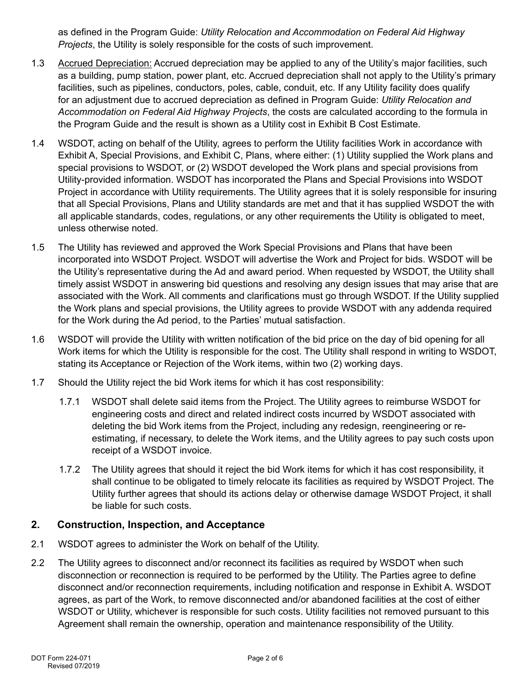as defined in the Program Guide: *Utility Relocation and Accommodation on Federal Aid Highway Projects*, the Utility is solely responsible for the costs of such improvement.

- 1.3 Accrued Depreciation: Accrued depreciation may be applied to any of the Utility's major facilities, such as a building, pump station, power plant, etc. Accrued depreciation shall not apply to the Utility's primary facilities, such as pipelines, conductors, poles, cable, conduit, etc. If any Utility facility does qualify for an adjustment due to accrued depreciation as defined in Program Guide: *Utility Relocation and Accommodation on Federal Aid Highway Projects*, the costs are calculated according to the formula in the Program Guide and the result is shown as a Utility cost in Exhibit B Cost Estimate.
- 1.4 WSDOT, acting on behalf of the Utility, agrees to perform the Utility facilities Work in accordance with Exhibit A, Special Provisions, and Exhibit C, Plans, where either: (1) Utility supplied the Work plans and special provisions to WSDOT, or (2) WSDOT developed the Work plans and special provisions from Utility-provided information. WSDOT has incorporated the Plans and Special Provisions into WSDOT Project in accordance with Utility requirements. The Utility agrees that it is solely responsible for insuring that all Special Provisions, Plans and Utility standards are met and that it has supplied WSDOT the with all applicable standards, codes, regulations, or any other requirements the Utility is obligated to meet, unless otherwise noted.
- 1.5 The Utility has reviewed and approved the Work Special Provisions and Plans that have been incorporated into WSDOT Project. WSDOT will advertise the Work and Project for bids. WSDOT will be the Utility's representative during the Ad and award period. When requested by WSDOT, the Utility shall timely assist WSDOT in answering bid questions and resolving any design issues that may arise that are associated with the Work. All comments and clarifications must go through WSDOT. If the Utility supplied the Work plans and special provisions, the Utility agrees to provide WSDOT with any addenda required for the Work during the Ad period, to the Parties' mutual satisfaction.
- 1.6 WSDOT will provide the Utility with written notification of the bid price on the day of bid opening for all Work items for which the Utility is responsible for the cost. The Utility shall respond in writing to WSDOT, stating its Acceptance or Rejection of the Work items, within two (2) working days.
- 1.7 Should the Utility reject the bid Work items for which it has cost responsibility:
	- 1.7.1 WSDOT shall delete said items from the Project. The Utility agrees to reimburse WSDOT for engineering costs and direct and related indirect costs incurred by WSDOT associated with deleting the bid Work items from the Project, including any redesign, reengineering or reestimating, if necessary, to delete the Work items, and the Utility agrees to pay such costs upon receipt of a WSDOT invoice.
	- 1.7.2 The Utility agrees that should it reject the bid Work items for which it has cost responsibility, it shall continue to be obligated to timely relocate its facilities as required by WSDOT Project. The Utility further agrees that should its actions delay or otherwise damage WSDOT Project, it shall be liable for such costs.

## **2. Construction, Inspection, and Acceptance**

- 2.1 WSDOT agrees to administer the Work on behalf of the Utility.
- 2.2 The Utility agrees to disconnect and/or reconnect its facilities as required by WSDOT when such disconnection or reconnection is required to be performed by the Utility. The Parties agree to define disconnect and/or reconnection requirements, including notification and response in Exhibit A. WSDOT agrees, as part of the Work, to remove disconnected and/or abandoned facilities at the cost of either WSDOT or Utility, whichever is responsible for such costs. Utility facilities not removed pursuant to this Agreement shall remain the ownership, operation and maintenance responsibility of the Utility.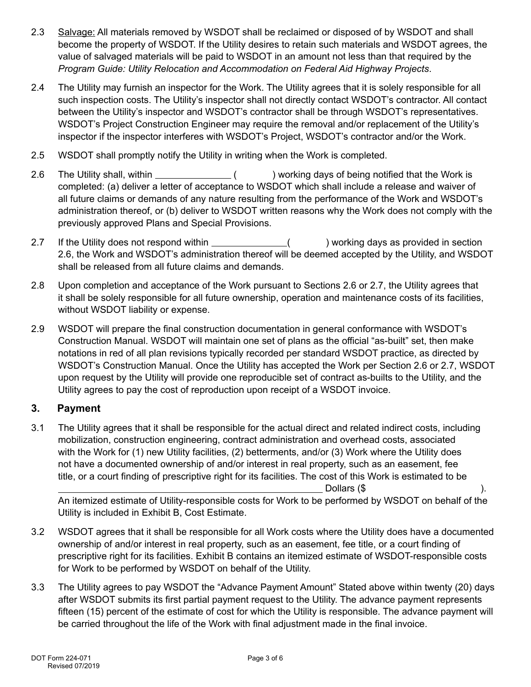- 2.3 Salvage: All materials removed by WSDOT shall be reclaimed or disposed of by WSDOT and shall become the property of WSDOT. If the Utility desires to retain such materials and WSDOT agrees, the value of salvaged materials will be paid to WSDOT in an amount not less than that required by the *Program Guide: Utility Relocation and Accommodation on Federal Aid Highway Projects*.
- 2.4 The Utility may furnish an inspector for the Work. The Utility agrees that it is solely responsible for all such inspection costs. The Utility's inspector shall not directly contact WSDOT's contractor. All contact between the Utility's inspector and WSDOT's contractor shall be through WSDOT's representatives. WSDOT's Project Construction Engineer may require the removal and/or replacement of the Utility's inspector if the inspector interferes with WSDOT's Project, WSDOT's contractor and/or the Work.
- 2.5 WSDOT shall promptly notify the Utility in writing when the Work is completed.
- 2.6 The Utility shall, within **the interest and interest of the Utility** shall, within  $($ (  $)$  working days of being notified that the Work is completed: (a) deliver a letter of acceptance to WSDOT which shall include a release and waiver of all future claims or demands of any nature resulting from the performance of the Work and WSDOT's administration thereof, or (b) deliver to WSDOT written reasons why the Work does not comply with the previously approved Plans and Special Provisions.
- 2.7 If the Utility does not respond within ( ) working days as provided in section 2.6, the Work and WSDOT's administration thereof will be deemed accepted by the Utility, and WSDOT shall be released from all future claims and demands.
- 2.8 Upon completion and acceptance of the Work pursuant to Sections 2.6 or 2.7, the Utility agrees that it shall be solely responsible for all future ownership, operation and maintenance costs of its facilities, without WSDOT liability or expense.
- 2.9 WSDOT will prepare the final construction documentation in general conformance with WSDOT's Construction Manual. WSDOT will maintain one set of plans as the official "as-built" set, then make notations in red of all plan revisions typically recorded per standard WSDOT practice, as directed by WSDOT's Construction Manual. Once the Utility has accepted the Work per Section 2.6 or 2.7, WSDOT upon request by the Utility will provide one reproducible set of contract as-builts to the Utility, and the Utility agrees to pay the cost of reproduction upon receipt of a WSDOT invoice.

## **3. Payment**

3.1 The Utility agrees that it shall be responsible for the actual direct and related indirect costs, including mobilization, construction engineering, contract administration and overhead costs, associated with the Work for (1) new Utility facilities, (2) betterments, and/or (3) Work where the Utility does not have a documented ownership of and/or interest in real property, such as an easement, fee title, or a court finding of prescriptive right for its facilities. The cost of this Work is estimated to be  $\Box$  Dollars (\$ ).

An itemized estimate of Utility-responsible costs for Work to be performed by WSDOT on behalf of the Utility is included in Exhibit B, Cost Estimate.

- 3.2 WSDOT agrees that it shall be responsible for all Work costs where the Utility does have a documented ownership of and/or interest in real property, such as an easement, fee title, or a court finding of prescriptive right for its facilities. Exhibit B contains an itemized estimate of WSDOT-responsible costs for Work to be performed by WSDOT on behalf of the Utility.
- 3.3 The Utility agrees to pay WSDOT the "Advance Payment Amount" Stated above within twenty (20) days after WSDOT submits its first partial payment request to the Utility. The advance payment represents fifteen (15) percent of the estimate of cost for which the Utility is responsible. The advance payment will be carried throughout the life of the Work with final adjustment made in the final invoice.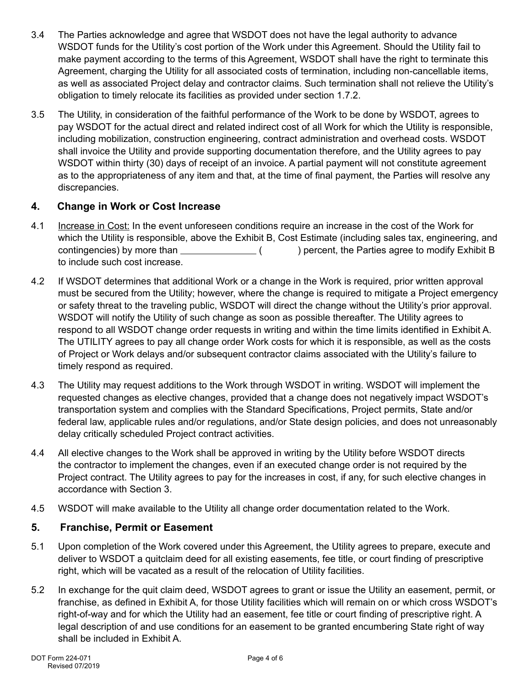- 3.4 The Parties acknowledge and agree that WSDOT does not have the legal authority to advance WSDOT funds for the Utility's cost portion of the Work under this Agreement. Should the Utility fail to make payment according to the terms of this Agreement, WSDOT shall have the right to terminate this Agreement, charging the Utility for all associated costs of termination, including non-cancellable items, as well as associated Project delay and contractor claims. Such termination shall not relieve the Utility's obligation to timely relocate its facilities as provided under section 1.7.2.
- 3.5 The Utility, in consideration of the faithful performance of the Work to be done by WSDOT, agrees to pay WSDOT for the actual direct and related indirect cost of all Work for which the Utility is responsible, including mobilization, construction engineering, contract administration and overhead costs. WSDOT shall invoice the Utility and provide supporting documentation therefore, and the Utility agrees to pay WSDOT within thirty (30) days of receipt of an invoice. A partial payment will not constitute agreement as to the appropriateness of any item and that, at the time of final payment, the Parties will resolve any discrepancies.

# **4. Change in Work or Cost Increase**

- 4.1 Increase in Cost: In the event unforeseen conditions require an increase in the cost of the Work for which the Utility is responsible, above the Exhibit B, Cost Estimate (including sales tax, engineering, and contingencies) by more than  $($   $)$  percent, the Parties agree to modify Exhibit B to include such cost increase.
- 4.2 If WSDOT determines that additional Work or a change in the Work is required, prior written approval must be secured from the Utility; however, where the change is required to mitigate a Project emergency or safety threat to the traveling public, WSDOT will direct the change without the Utility's prior approval. WSDOT will notify the Utility of such change as soon as possible thereafter. The Utility agrees to respond to all WSDOT change order requests in writing and within the time limits identified in Exhibit A. The UTILITY agrees to pay all change order Work costs for which it is responsible, as well as the costs of Project or Work delays and/or subsequent contractor claims associated with the Utility's failure to timely respond as required.
- 4.3 The Utility may request additions to the Work through WSDOT in writing. WSDOT will implement the requested changes as elective changes, provided that a change does not negatively impact WSDOT's transportation system and complies with the Standard Specifications, Project permits, State and/or federal law, applicable rules and/or regulations, and/or State design policies, and does not unreasonably delay critically scheduled Project contract activities.
- 4.4 All elective changes to the Work shall be approved in writing by the Utility before WSDOT directs the contractor to implement the changes, even if an executed change order is not required by the Project contract. The Utility agrees to pay for the increases in cost, if any, for such elective changes in accordance with Section 3.
- 4.5 WSDOT will make available to the Utility all change order documentation related to the Work.

## **5. Franchise, Permit or Easement**

- 5.1 Upon completion of the Work covered under this Agreement, the Utility agrees to prepare, execute and deliver to WSDOT a quitclaim deed for all existing easements, fee title, or court finding of prescriptive right, which will be vacated as a result of the relocation of Utility facilities.
- 5.2 In exchange for the quit claim deed, WSDOT agrees to grant or issue the Utility an easement, permit, or franchise, as defined in Exhibit A, for those Utility facilities which will remain on or which cross WSDOT's right-of-way and for which the Utility had an easement, fee title or court finding of prescriptive right. A legal description of and use conditions for an easement to be granted encumbering State right of way shall be included in Exhibit A.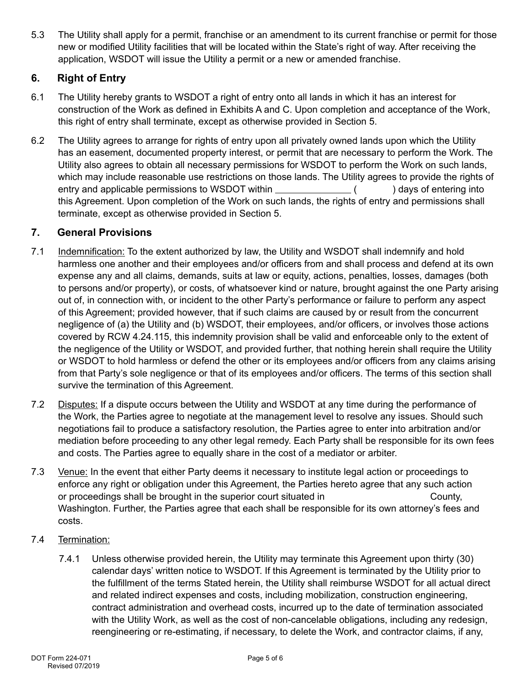5.3 The Utility shall apply for a permit, franchise or an amendment to its current franchise or permit for those new or modified Utility facilities that will be located within the State's right of way. After receiving the application, WSDOT will issue the Utility a permit or a new or amended franchise.

# **6. Right of Entry**

- 6.1 The Utility hereby grants to WSDOT a right of entry onto all lands in which it has an interest for construction of the Work as defined in Exhibits A and C. Upon completion and acceptance of the Work, this right of entry shall terminate, except as otherwise provided in Section 5.
- 6.2 The Utility agrees to arrange for rights of entry upon all privately owned lands upon which the Utility has an easement, documented property interest, or permit that are necessary to perform the Work. The Utility also agrees to obtain all necessary permissions for WSDOT to perform the Work on such lands, which may include reasonable use restrictions on those lands. The Utility agrees to provide the rights of entry and applicable permissions to WSDOT within ( ) days of entering into this Agreement. Upon completion of the Work on such lands, the rights of entry and permissions shall terminate, except as otherwise provided in Section 5.

## **7. General Provisions**

- 7.1 Indemnification: To the extent authorized by law, the Utility and WSDOT shall indemnify and hold harmless one another and their employees and/or officers from and shall process and defend at its own expense any and all claims, demands, suits at law or equity, actions, penalties, losses, damages (both to persons and/or property), or costs, of whatsoever kind or nature, brought against the one Party arising out of, in connection with, or incident to the other Party's performance or failure to perform any aspect of this Agreement; provided however, that if such claims are caused by or result from the concurrent negligence of (a) the Utility and (b) WSDOT, their employees, and/or officers, or involves those actions covered by RCW 4.24.115, this indemnity provision shall be valid and enforceable only to the extent of the negligence of the Utility or WSDOT, and provided further, that nothing herein shall require the Utility or WSDOT to hold harmless or defend the other or its employees and/or officers from any claims arising from that Party's sole negligence or that of its employees and/or officers. The terms of this section shall survive the termination of this Agreement.
- 7.2 Disputes: If a dispute occurs between the Utility and WSDOT at any time during the performance of the Work, the Parties agree to negotiate at the management level to resolve any issues. Should such negotiations fail to produce a satisfactory resolution, the Parties agree to enter into arbitration and/or mediation before proceeding to any other legal remedy. Each Party shall be responsible for its own fees and costs. The Parties agree to equally share in the cost of a mediator or arbiter.
- 7.3 Venue: In the event that either Party deems it necessary to institute legal action or proceedings to enforce any right or obligation under this Agreement, the Parties hereto agree that any such action or proceedings shall be brought in the superior court situated in  $\Box$  County, Washington. Further, the Parties agree that each shall be responsible for its own attorney's fees and costs.
- 7.4 Termination:
	- 7.4.1 Unless otherwise provided herein, the Utility may terminate this Agreement upon thirty (30) calendar days' written notice to WSDOT. If this Agreement is terminated by the Utility prior to the fulfillment of the terms Stated herein, the Utility shall reimburse WSDOT for all actual direct and related indirect expenses and costs, including mobilization, construction engineering, contract administration and overhead costs, incurred up to the date of termination associated with the Utility Work, as well as the cost of non-cancelable obligations, including any redesign, reengineering or re-estimating, if necessary, to delete the Work, and contractor claims, if any,